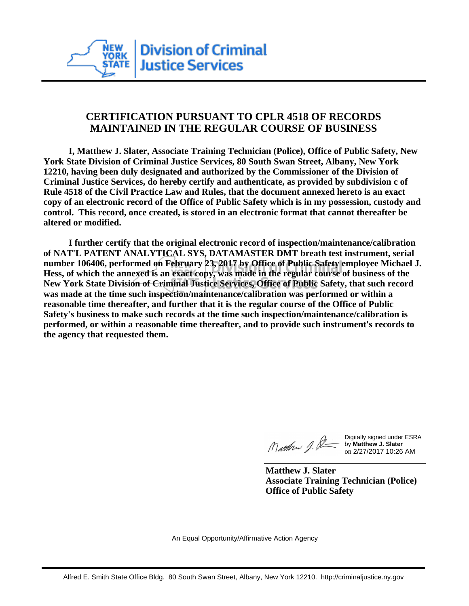

## **CERTIFICATION PURSUANT TO CPLR 4518 OF RECORDS MAINTAINED IN THE REGULAR COURSE OF BUSINESS**

 **I, Matthew J. Slater, Associate Training Technician (Police), Office of Public Safety, New York State Division of Criminal Justice Services, 80 South Swan Street, Albany, New York 12210, having been duly designated and authorized by the Commissioner of the Division of Criminal Justice Services, do hereby certify and authenticate, as provided by subdivision c of Rule 4518 of the Civil Practice Law and Rules, that the document annexed hereto is an exact copy of an electronic record of the Office of Public Safety which is in my possession, custody and control. This record, once created, is stored in an electronic format that cannot thereafter be altered or modified.**

 **I further certify that the original electronic record of inspection/maintenance/calibration of NAT'L PATENT ANALYTICAL SYS, DATAMASTER DMT breath test instrument, serial number 106406, performed on February 23, 2017 by Office of Public Safety employee Michael J. Hess, of which the annexed is an exact copy, was made in the regular course of business of the New York State Division of Criminal Justice Services, Office of Public Safety, that such record was made at the time such inspection/maintenance/calibration was performed or within a reasonable time thereafter, and further that it is the regular course of the Office of Public Safety's business to make such records at the time such inspection/maintenance/calibration is performed, or within a reasonable time thereafter, and to provide such instrument's records to the agency that requested them.**

Mathon J. St

Digitally signed under ESRA by **Matthew J. Slater** on 2/27/2017 10:26 AM

**Matthew J. Slater Associate Training Technician (Police) Office of Public Safety**

An Equal Opportunity/Affirmative Action Agency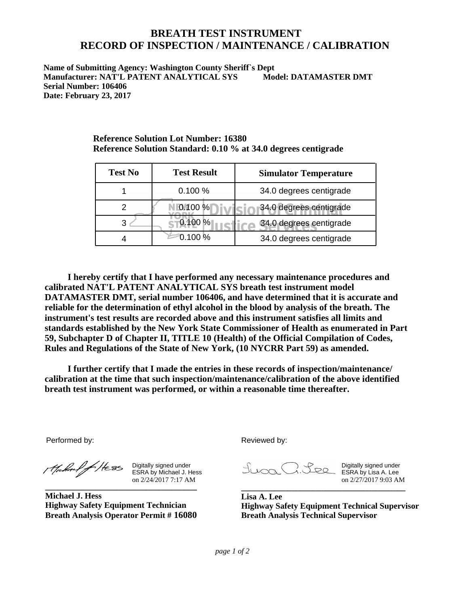## **BREATH TEST INSTRUMENT RECORD OF INSPECTION / MAINTENANCE / CALIBRATION**

**Name of Submitting Agency: Washington County Sheriff`s Dept Manufacturer: NAT'L PATENT ANALYTICAL SYS Model: DATAMASTER DMT Serial Number: 106406 Date: February 23, 2017**

| <b>Test No</b> | <b>Test Result</b> | <b>Simulator Temperature</b> |
|----------------|--------------------|------------------------------|
|                | 0.100%             | 34.0 degrees centigrade      |
|                | 0.100 %            | 34.0 degrees centigrade      |
| 3              | 0.100 %            | 34.0 degrees centigrade      |
|                | 0.100%             | 34.0 degrees centigrade      |

**Reference Solution Lot Number: 16380 Reference Solution Standard: 0.10 % at 34.0 degrees centigrade**

 **instrument's test results are recorded above and this instrument satisfies all limits and standards established by the New York State Commissioner of Health as enumerated in Part 59, Subchapter D of Chapter II, TITLE 10 (Health) of the Official Compilation of Codes, Rules and Regulations of the State of New York, (10 NYCRR Part 59) as amended. I hereby certify that I have performed any necessary maintenance procedures and calibrated NAT'L PATENT ANALYTICAL SYS breath test instrument model DATAMASTER DMT, serial number 106406, and have determined that it is accurate and reliable for the determination of ethyl alcohol in the blood by analysis of the breath. The** 

 **I further certify that I made the entries in these records of inspection/maintenance/ calibration at the time that such inspection/maintenance/calibration of the above identified breath test instrument was performed, or within a reasonable time thereafter.**

Performed by:

Mahal fHess

Digitally signed under ESRA by Michael J. Hess on 2/24/2017 7:17 AM **\_\_\_\_\_\_\_\_\_\_\_\_\_\_\_\_\_\_\_\_\_\_\_\_\_\_\_\_\_\_\_\_\_\_\_\_**

**Michael J. Hess Highway Safety Equipment Technician Breath Analysis Operator Permit # 16080** Reviewed by:

Digitally signed under ESRA by Lisa A. Lee on 2/27/2017 9:03 AM

**Lisa A. Lee Highway Safety Equipment Technical Supervisor Breath Analysis Technical Supervisor**

**\_\_\_\_\_\_\_\_\_\_\_\_\_\_\_\_\_\_\_\_\_\_\_\_\_\_\_\_\_\_\_\_\_\_\_\_\_\_\_**